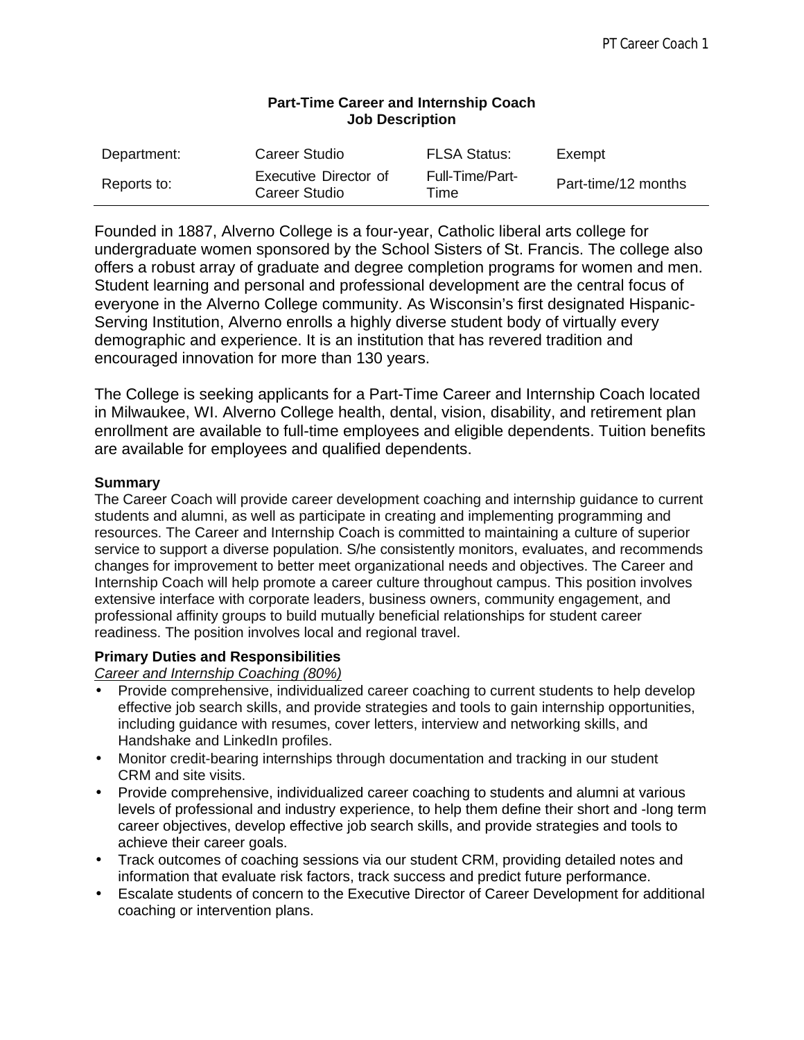| <b>Job Description</b> |                                        |                         |                     |
|------------------------|----------------------------------------|-------------------------|---------------------|
| Department:            | <b>Career Studio</b>                   | <b>FLSA Status:</b>     | Exempt              |
| Reports to:            | Executive Director of<br>Career Studio | Full-Time/Part-<br>Time | Part-time/12 months |

# **Part-Time Career and Internship Coach**

Founded in 1887, Alverno College is a four-year, Catholic liberal arts college for undergraduate women sponsored by the School Sisters of St. Francis. The college also offers a robust array of graduate and degree completion programs for women and men. Student learning and personal and professional development are the central focus of everyone in the Alverno College community. As Wisconsin's first designated Hispanic-Serving Institution, Alverno enrolls a highly diverse student body of virtually every demographic and experience. It is an institution that has revered tradition and encouraged innovation for more than 130 years.

The College is seeking applicants for a Part-Time Career and Internship Coach located in Milwaukee, WI. Alverno College health, dental, vision, disability, and retirement plan enrollment are available to full-time employees and eligible dependents. Tuition benefits are available for employees and qualified dependents.

#### **Summary**

The Career Coach will provide career development coaching and internship guidance to current students and alumni, as well as participate in creating and implementing programming and resources. The Career and Internship Coach is committed to maintaining a culture of superior service to support a diverse population. S/he consistently monitors, evaluates, and recommends changes for improvement to better meet organizational needs and objectives. The Career and Internship Coach will help promote a career culture throughout campus. This position involves extensive interface with corporate leaders, business owners, community engagement, and professional affinity groups to build mutually beneficial relationships for student career readiness. The position involves local and regional travel.

## **Primary Duties and Responsibilities**

*Career and Internship Coaching (80%)*

- Provide comprehensive, individualized career coaching to current students to help develop effective job search skills, and provide strategies and tools to gain internship opportunities, including guidance with resumes, cover letters, interview and networking skills, and Handshake and LinkedIn profiles.
- Monitor credit-bearing internships through documentation and tracking in our student CRM and site visits.
- Provide comprehensive, individualized career coaching to students and alumni at various levels of professional and industry experience, to help them define their short and -long term career objectives, develop effective job search skills, and provide strategies and tools to achieve their career goals.
- Track outcomes of coaching sessions via our student CRM, providing detailed notes and information that evaluate risk factors, track success and predict future performance.
- Escalate students of concern to the Executive Director of Career Development for additional coaching or intervention plans.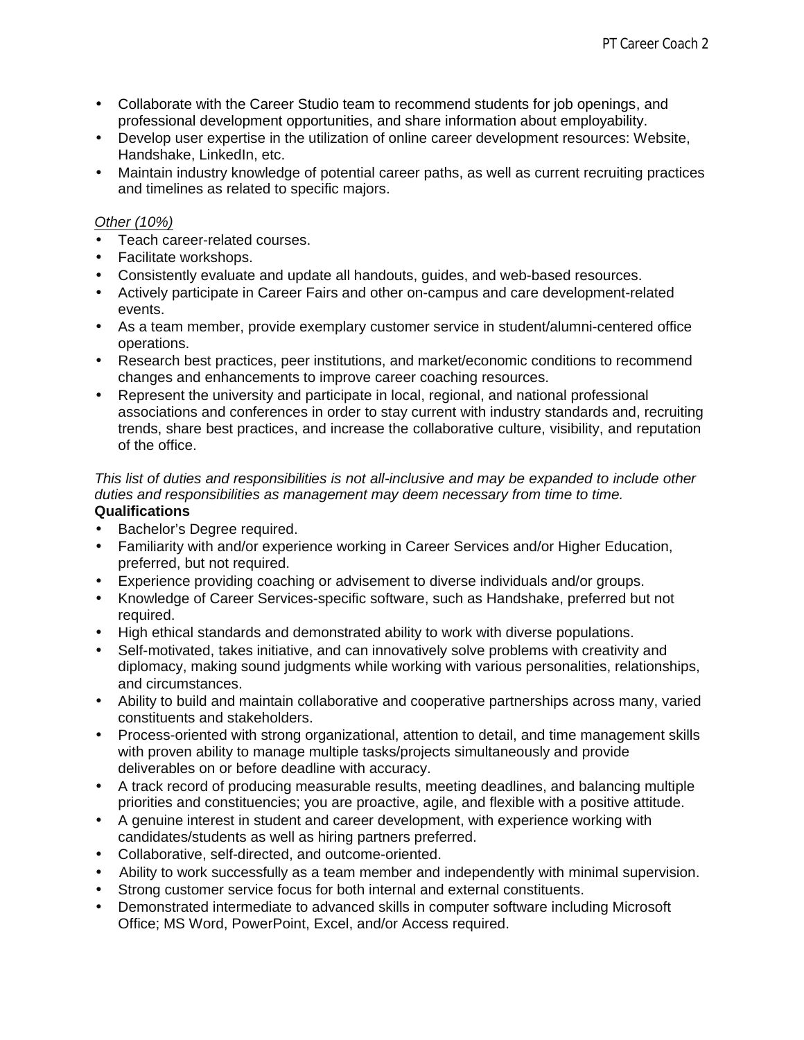- Collaborate with the Career Studio team to recommend students for job openings, and professional development opportunities, and share information about employability.
- Develop user expertise in the utilization of online career development resources: Website, Handshake, LinkedIn, etc.
- Maintain industry knowledge of potential career paths, as well as current recruiting practices and timelines as related to specific majors.

#### *Other (10%)*

- Teach career-related courses.
- Facilitate workshops.
- Consistently evaluate and update all handouts, guides, and web-based resources.
- Actively participate in Career Fairs and other on-campus and care development-related events.
- As a team member, provide exemplary customer service in student/alumni-centered office operations.
- Research best practices, peer institutions, and market/economic conditions to recommend changes and enhancements to improve career coaching resources.
- Represent the university and participate in local, regional, and national professional associations and conferences in order to stay current with industry standards and, recruiting trends, share best practices, and increase the collaborative culture, visibility, and reputation of the office.

#### *This list of duties and responsibilities is not all-inclusive and may be expanded to include other duties and responsibilities as management may deem necessary from time to time.* **Qualifications**

- Bachelor's Degree required.
- Familiarity with and/or experience working in Career Services and/or Higher Education, preferred, but not required.
- Experience providing coaching or advisement to diverse individuals and/or groups.
- Knowledge of Career Services-specific software, such as Handshake, preferred but not required.
- High ethical standards and demonstrated ability to work with diverse populations.
- Self-motivated, takes initiative, and can innovatively solve problems with creativity and diplomacy, making sound judgments while working with various personalities, relationships, and circumstances.
- Ability to build and maintain collaborative and cooperative partnerships across many, varied constituents and stakeholders.
- Process-oriented with strong organizational, attention to detail, and time management skills with proven ability to manage multiple tasks/projects simultaneously and provide deliverables on or before deadline with accuracy.
- A track record of producing measurable results, meeting deadlines, and balancing multiple priorities and constituencies; you are proactive, agile, and flexible with a positive attitude.
- A genuine interest in student and career development, with experience working with candidates/students as well as hiring partners preferred.
- Collaborative, self-directed, and outcome-oriented.
- Ability to work successfully as a team member and independently with minimal supervision.
- Strong customer service focus for both internal and external constituents.
- Demonstrated intermediate to advanced skills in computer software including Microsoft Office; MS Word, PowerPoint, Excel, and/or Access required.